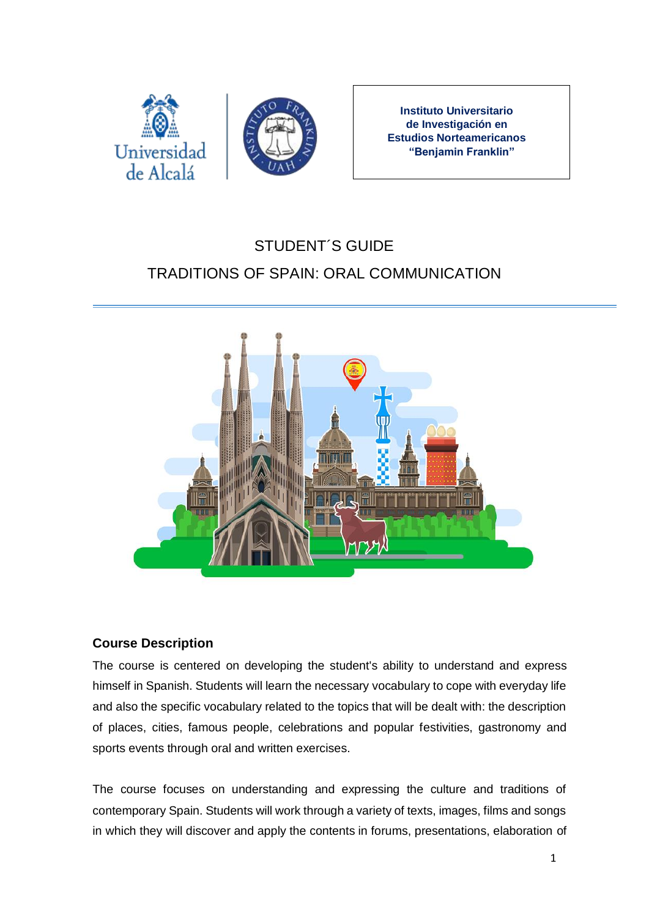



**Instituto Universitario de Investigación en Estudios Norteamericanos "Benjamin Franklin"**

# STUDENT´S GUIDE TRADITIONS OF SPAIN: ORAL COMMUNICATION



## **Course Description**

The course is centered on developing the student's ability to understand and express himself in Spanish. Students will learn the necessary vocabulary to cope with everyday life and also the specific vocabulary related to the topics that will be dealt with: the description of places, cities, famous people, celebrations and popular festivities, gastronomy and sports events through oral and written exercises.

The course focuses on understanding and expressing the culture and traditions of contemporary Spain. Students will work through a variety of texts, images, films and songs in which they will discover and apply the contents in forums, presentations, elaboration of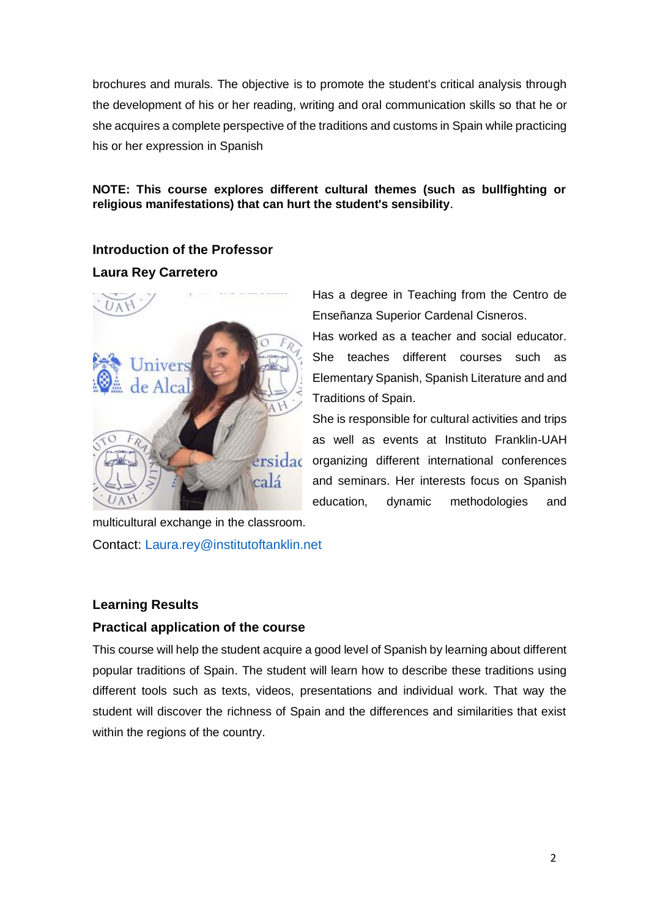brochures and murals. The objective is to promote the student's critical analysis through the development of his or her reading, writing and oral communication skills so that he or she acquires a complete perspective of the traditions and customs in Spain while practicing his or her expression in Spanish

#### **NOTE: This course explores different cultural themes (such as bullfighting or religious manifestations) that can hurt the student's sensibility**.

#### **Introduction of the Professor**

#### **Laura Rey Carretero**



Has a degree in Teaching from the Centro de Enseñanza Superior Cardenal Cisneros.

Has worked as a teacher and social educator. She teaches different courses such as Elementary Spanish, Spanish Literature and and Traditions of Spain.

She is responsible for cultural activities and trips as well as events at Instituto Franklin-UAH organizing different international conferences and seminars. Her interests focus on Spanish education, dynamic methodologies and

multicultural exchange in the classroom. Contact: [Laura.rey@institutoftanklin.net](file:///D:/Users/Laura%20Rey/Desktop/Clases/Tradiciones/Tradiciones%20de%20España%20-%20Online/Laura.rey@institutoftanklin.net)

## **Learning Results**

## **Practical application of the course**

This course will help the student acquire a good level of Spanish by learning about different popular traditions of Spain. The student will learn how to describe these traditions using different tools such as texts, videos, presentations and individual work. That way the student will discover the richness of Spain and the differences and similarities that exist within the regions of the country.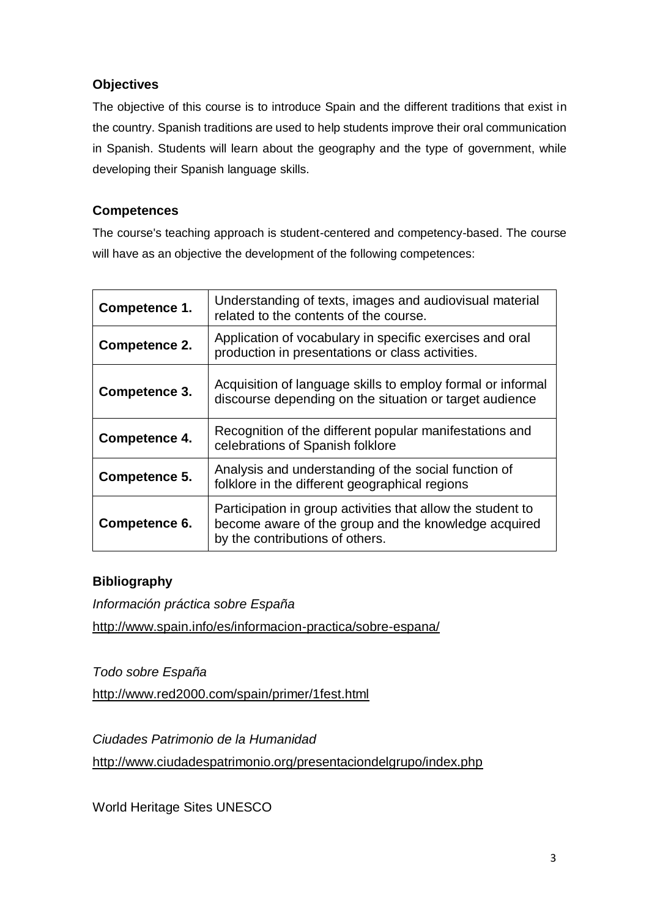## **Objectives**

The objective of this course is to introduce Spain and the different traditions that exist in the country. Spanish traditions are used to help students improve their oral communication in Spanish. Students will learn about the geography and the type of government, while developing their Spanish language skills.

## **Competences**

The course's teaching approach is student-centered and competency-based. The course will have as an objective the development of the following competences:

| Competence 1. | Understanding of texts, images and audiovisual material<br>related to the contents of the course.                                                      |
|---------------|--------------------------------------------------------------------------------------------------------------------------------------------------------|
| Competence 2. | Application of vocabulary in specific exercises and oral<br>production in presentations or class activities.                                           |
| Competence 3. | Acquisition of language skills to employ formal or informal<br>discourse depending on the situation or target audience                                 |
| Competence 4. | Recognition of the different popular manifestations and<br>celebrations of Spanish folklore                                                            |
| Competence 5. | Analysis and understanding of the social function of<br>folklore in the different geographical regions                                                 |
| Competence 6. | Participation in group activities that allow the student to<br>become aware of the group and the knowledge acquired<br>by the contributions of others. |

## **Bibliography**

*Información práctica sobre España* <http://www.spain.info/es/informacion-practica/sobre-espana/>

*Todo sobre España*

<http://www.red2000.com/spain/primer/1fest.html>

*Ciudades Patrimonio de la Humanidad* <http://www.ciudadespatrimonio.org/presentaciondelgrupo/index.php>

World Heritage Sites UNESCO